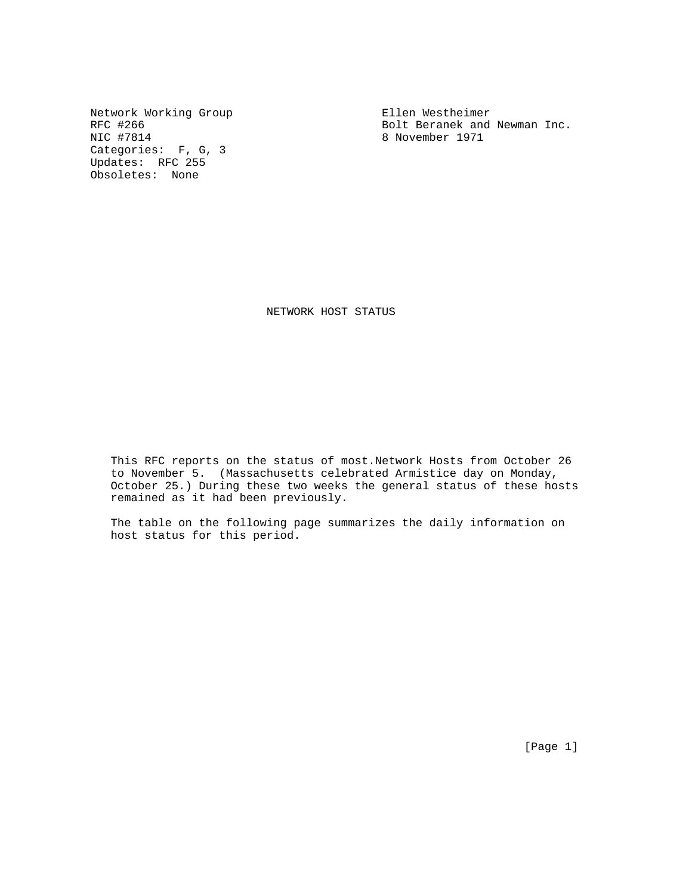Network Working Group entitled and the Ellen Westheimer Categories: F, G, 3 Updates: RFC 255 Obsoletes: None

RFC #266 Bolt Beranek and Newman Inc.<br>NIC #7814 8 November 1971 8 November 1971

NETWORK HOST STATUS

 This RFC reports on the status of most.Network Hosts from October 26 to November 5. (Massachusetts celebrated Armistice day on Monday, October 25.) During these two weeks the general status of these hosts remained as it had been previously.

 The table on the following page summarizes the daily information on host status for this period.

[Page 1]